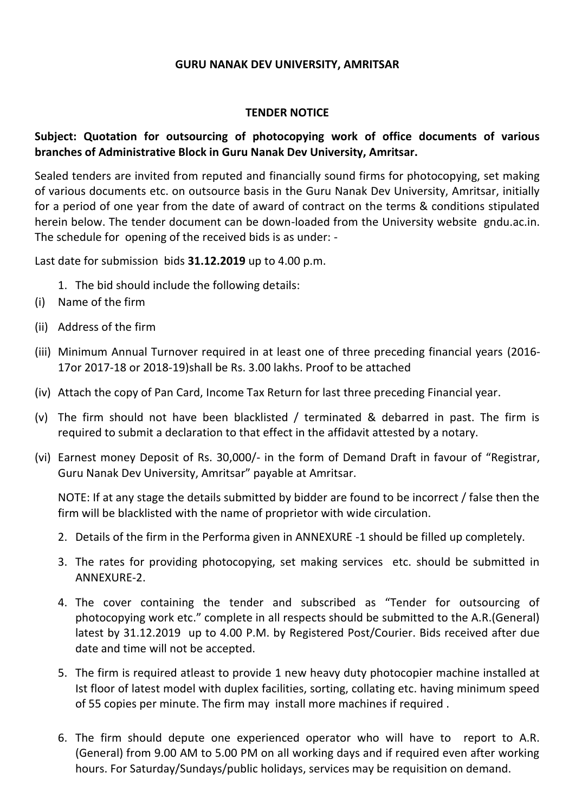#### **GURU NANAK DEV UNIVERSITY, AMRITSAR**

#### **TENDER NOTICE**

### **Subject: Quotation for outsourcing of photocopying work of office documents of various branches of Administrative Block in Guru Nanak Dev University, Amritsar.**

Sealed tenders are invited from reputed and financially sound firms for photocopying, set making of various documents etc. on outsource basis in the Guru Nanak Dev University, Amritsar, initially for a period of one year from the date of award of contract on the terms & conditions stipulated herein below. The tender document can be down-loaded from the University website gndu.ac.in. The schedule for opening of the received bids is as under: -

Last date for submission bids **31.12.2019** up to 4.00 p.m.

- 1. The bid should include the following details:
- (i) Name of the firm
- (ii) Address of the firm
- (iii) Minimum Annual Turnover required in at least one of three preceding financial years (2016- 17or 2017-18 or 2018-19)shall be Rs. 3.00 lakhs. Proof to be attached
- (iv) Attach the copy of Pan Card, Income Tax Return for last three preceding Financial year.
- (v) The firm should not have been blacklisted / terminated & debarred in past. The firm is required to submit a declaration to that effect in the affidavit attested by a notary.
- (vi) Earnest money Deposit of Rs. 30,000/- in the form of Demand Draft in favour of "Registrar, Guru Nanak Dev University, Amritsar" payable at Amritsar.

NOTE: If at any stage the details submitted by bidder are found to be incorrect / false then the firm will be blacklisted with the name of proprietor with wide circulation.

- 2. Details of the firm in the Performa given in ANNEXURE -1 should be filled up completely.
- 3. The rates for providing photocopying, set making services etc. should be submitted in ANNEXURE-2.
- 4. The cover containing the tender and subscribed as "Tender for outsourcing of photocopying work etc." complete in all respects should be submitted to the A.R.(General) latest by 31.12.2019 up to 4.00 P.M. by Registered Post/Courier. Bids received after due date and time will not be accepted.
- 5. The firm is required atleast to provide 1 new heavy duty photocopier machine installed at Ist floor of latest model with duplex facilities, sorting, collating etc. having minimum speed of 55 copies per minute. The firm may install more machines if required .
- 6. The firm should depute one experienced operator who will have to report to A.R. (General) from 9.00 AM to 5.00 PM on all working days and if required even after working hours. For Saturday/Sundays/public holidays, services may be requisition on demand.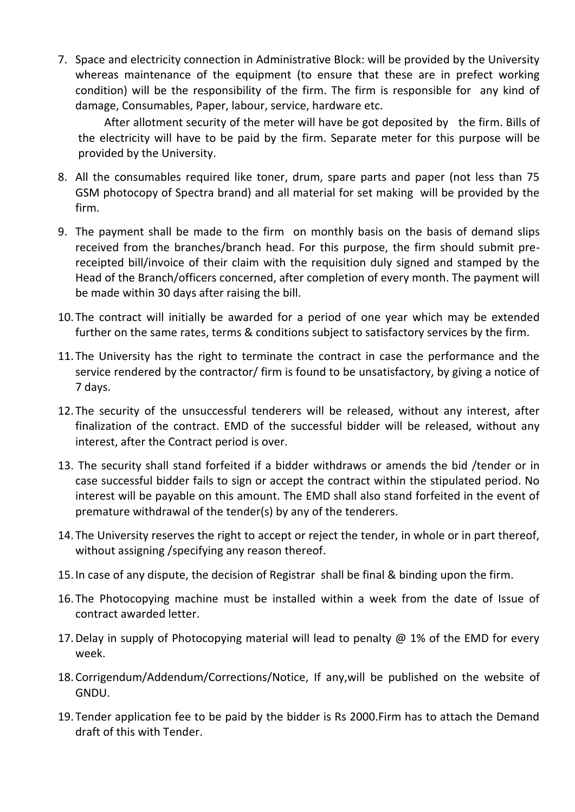7. Space and electricity connection in Administrative Block: will be provided by the University whereas maintenance of the equipment (to ensure that these are in prefect working condition) will be the responsibility of the firm. The firm is responsible for any kind of damage, Consumables, Paper, labour, service, hardware etc.

After allotment security of the meter will have be got deposited by the firm. Bills of the electricity will have to be paid by the firm. Separate meter for this purpose will be provided by the University.

- 8. All the consumables required like toner, drum, spare parts and paper (not less than 75 GSM photocopy of Spectra brand) and all material for set making will be provided by the firm.
- 9. The payment shall be made to the firm on monthly basis on the basis of demand slips received from the branches/branch head. For this purpose, the firm should submit prereceipted bill/invoice of their claim with the requisition duly signed and stamped by the Head of the Branch/officers concerned, after completion of every month. The payment will be made within 30 days after raising the bill.
- 10.The contract will initially be awarded for a period of one year which may be extended further on the same rates, terms & conditions subject to satisfactory services by the firm.
- 11.The University has the right to terminate the contract in case the performance and the service rendered by the contractor/ firm is found to be unsatisfactory, by giving a notice of 7 days.
- 12.The security of the unsuccessful tenderers will be released, without any interest, after finalization of the contract. EMD of the successful bidder will be released, without any interest, after the Contract period is over.
- 13. The security shall stand forfeited if a bidder withdraws or amends the bid /tender or in case successful bidder fails to sign or accept the contract within the stipulated period. No interest will be payable on this amount. The EMD shall also stand forfeited in the event of premature withdrawal of the tender(s) by any of the tenderers.
- 14.The University reserves the right to accept or reject the tender, in whole or in part thereof, without assigning /specifying any reason thereof.
- 15.In case of any dispute, the decision of Registrar shall be final & binding upon the firm.
- 16.The Photocopying machine must be installed within a week from the date of Issue of contract awarded letter.
- 17. Delay in supply of Photocopying material will lead to penalty  $\omega$  1% of the EMD for every week.
- 18.Corrigendum/Addendum/Corrections/Notice, If any,will be published on the website of GNDU.
- 19.Tender application fee to be paid by the bidder is Rs 2000.Firm has to attach the Demand draft of this with Tender.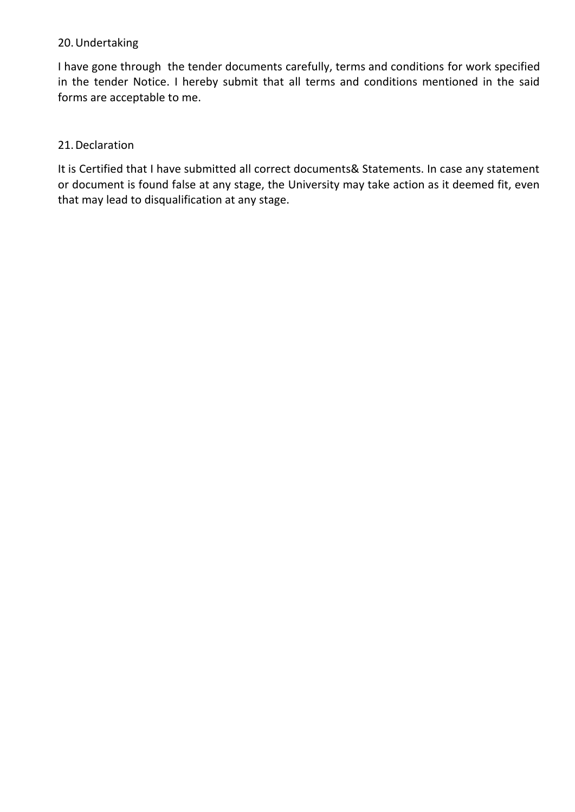### 20.Undertaking

I have gone through the tender documents carefully, terms and conditions for work specified in the tender Notice. I hereby submit that all terms and conditions mentioned in the said forms are acceptable to me.

## 21.Declaration

It is Certified that I have submitted all correct documents& Statements. In case any statement or document is found false at any stage, the University may take action as it deemed fit, even that may lead to disqualification at any stage.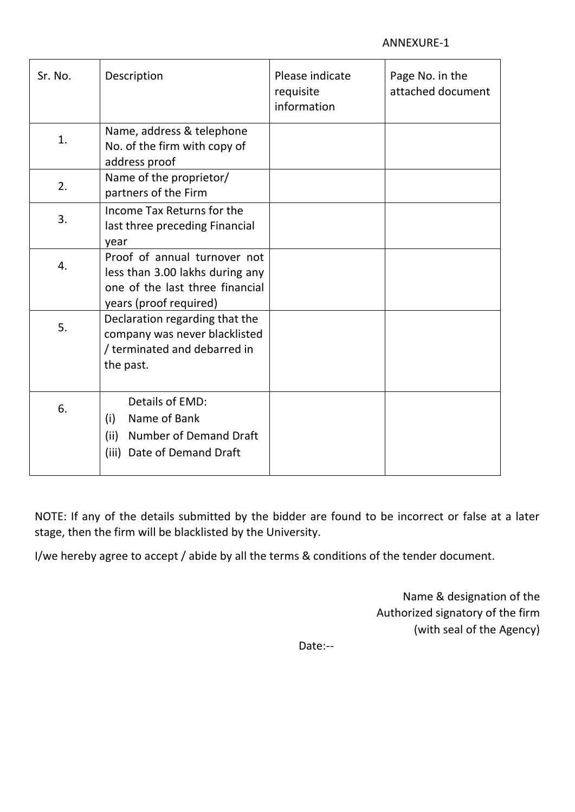| Sr. No. | Description                                                                                                                  | Please indicate<br>requisite<br>information | Page No. in the<br>attached document |
|---------|------------------------------------------------------------------------------------------------------------------------------|---------------------------------------------|--------------------------------------|
| 1.      | Name, address & telephone<br>No. of the firm with copy of<br>address proof                                                   |                                             |                                      |
| 2.      | Name of the proprietor/<br>partners of the Firm                                                                              |                                             |                                      |
| 3.      | Income Tax Returns for the<br>last three preceding Financial<br>year                                                         |                                             |                                      |
| 4.      | Proof of annual turnover not<br>less than 3.00 lakhs during any<br>one of the last three financial<br>years (proof required) |                                             |                                      |
| 5.      | Declaration regarding that the<br>company was never blacklisted<br>/ terminated and debarred in<br>the past.                 |                                             |                                      |
| 6.      | Details of EMD:<br>Name of Bank<br>(i)<br><b>Number of Demand Draft</b><br>(ii)<br>Date of Demand Draft<br>(iii)             |                                             |                                      |

NOTE: If any of the details submitted by the bidder are found to be incorrect or false at a later stage, then the firm will be blacklisted by the University.

I/we hereby agree to accept / abide by all the terms & conditions of the tender document.

Name & designation of the Authorized signatory of the firm (with seal of the Agency)

Date:--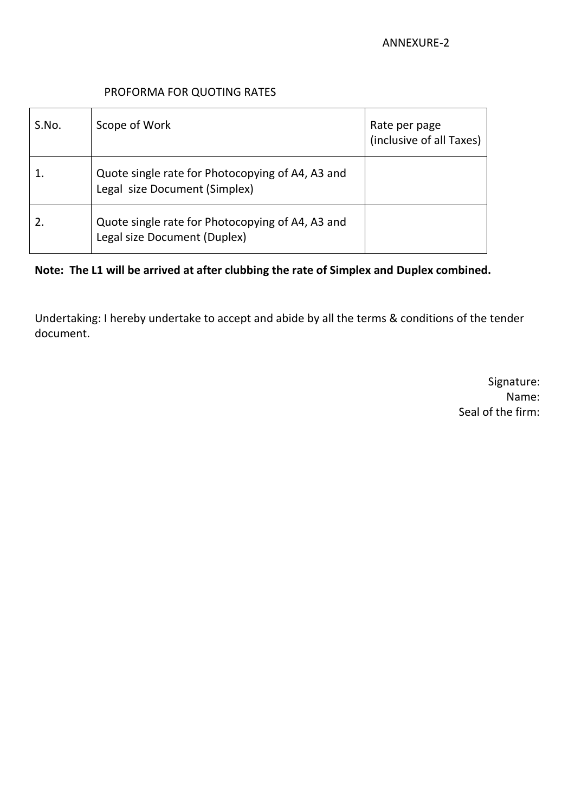#### PROFORMA FOR QUOTING RATES

| S.No. | Scope of Work                                                                     | Rate per page<br>(inclusive of all Taxes) |
|-------|-----------------------------------------------------------------------------------|-------------------------------------------|
|       | Quote single rate for Photocopying of A4, A3 and<br>Legal size Document (Simplex) |                                           |
|       | Quote single rate for Photocopying of A4, A3 and<br>Legal size Document (Duplex)  |                                           |

**Note: The L1 will be arrived at after clubbing the rate of Simplex and Duplex combined.**

Undertaking: I hereby undertake to accept and abide by all the terms & conditions of the tender document.

> Signature: Name: Seal of the firm: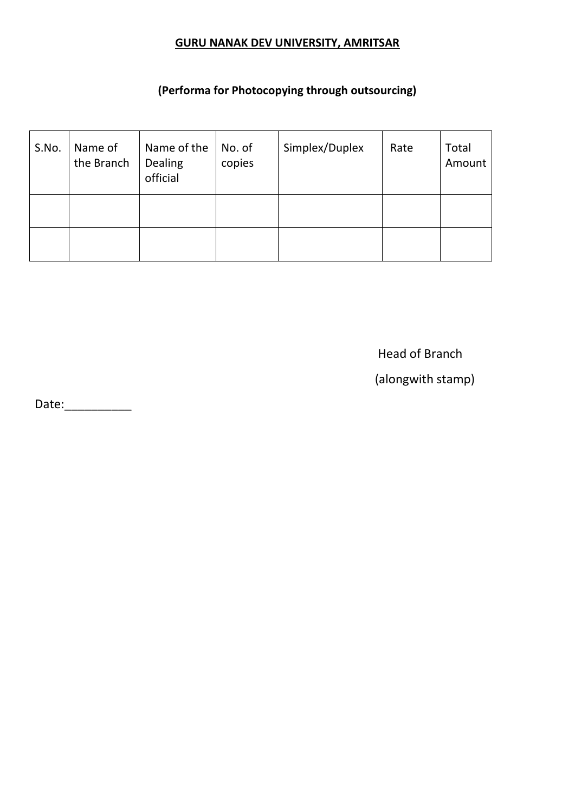# **GURU NANAK DEV UNIVERSITY, AMRITSAR**

# **(Performa for Photocopying through outsourcing)**

| S.No. | Name of<br>the Branch | Name of the<br>Dealing<br>official | No. of<br>copies | Simplex/Duplex | Rate | Total<br>Amount |
|-------|-----------------------|------------------------------------|------------------|----------------|------|-----------------|
|       |                       |                                    |                  |                |      |                 |
|       |                       |                                    |                  |                |      |                 |

Head of Branch

(alongwith stamp)

Date:\_\_\_\_\_\_\_\_\_\_